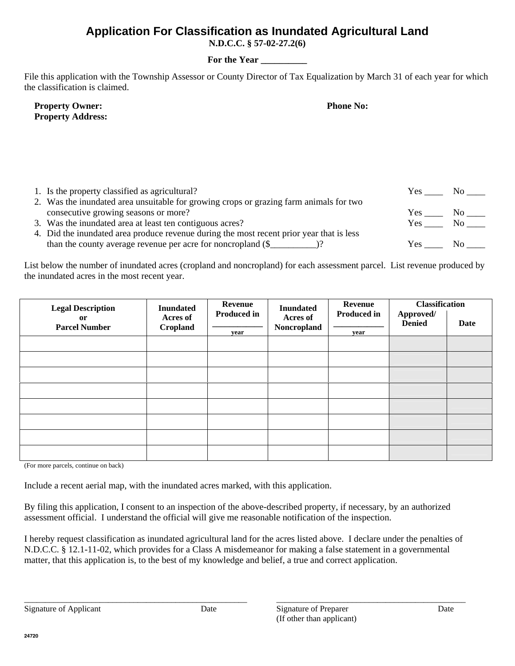## **Application For Classification as Inundated Agricultural Land**

**N.D.C.C. § 57-02-27.2(6)** 

## **For the Year \_\_\_\_\_\_\_\_\_\_**

File this application with the Township Assessor or County Director of Tax Equalization by March 31 of each year for which the classification is claimed.

| <b>Property Owner:</b> |                          |
|------------------------|--------------------------|
|                        | <b>Property Address:</b> |

**Phone No:** 

| 1. Is the property classified as agricultural?                                           | Yes. | NO. |
|------------------------------------------------------------------------------------------|------|-----|
| 2. Was the inundated area unsuitable for growing crops or grazing farm animals for two   |      |     |
| consecutive growing seasons or more?                                                     | Yes  | No. |
| 3. Was the inundated area at least ten contiguous acres?                                 | Yes  | No. |
| 4. Did the inundated area produce revenue during the most recent prior year that is less |      |     |
|                                                                                          | Yes  | NO. |

List below the number of inundated acres (cropland and noncropland) for each assessment parcel. List revenue produced by the inundated acres in the most recent year.

| <b>Legal Description</b>   | <b>Inundated</b>     | Revenue                    | <b>Inundated</b>        | Revenue                    | <b>Classification</b>      |      |
|----------------------------|----------------------|----------------------------|-------------------------|----------------------------|----------------------------|------|
| or<br><b>Parcel Number</b> | Acres of<br>Cropland | <b>Produced in</b><br>year | Acres of<br>Noncropland | <b>Produced in</b><br>year | Approved/<br><b>Denied</b> | Date |
|                            |                      |                            |                         |                            |                            |      |
|                            |                      |                            |                         |                            |                            |      |
|                            |                      |                            |                         |                            |                            |      |
|                            |                      |                            |                         |                            |                            |      |
|                            |                      |                            |                         |                            |                            |      |
|                            |                      |                            |                         |                            |                            |      |
|                            |                      |                            |                         |                            |                            |      |
|                            |                      |                            |                         |                            |                            |      |

(For more parcels, continue on back)

Include a recent aerial map, with the inundated acres marked, with this application.

By filing this application, I consent to an inspection of the above-described property, if necessary, by an authorized assessment official. I understand the official will give me reasonable notification of the inspection.

I hereby request classification as inundated agricultural land for the acres listed above. I declare under the penalties of N.D.C.C. § 12.1-11-02, which provides for a Class A misdemeanor for making a false statement in a governmental matter, that this application is, to the best of my knowledge and belief, a true and correct application.